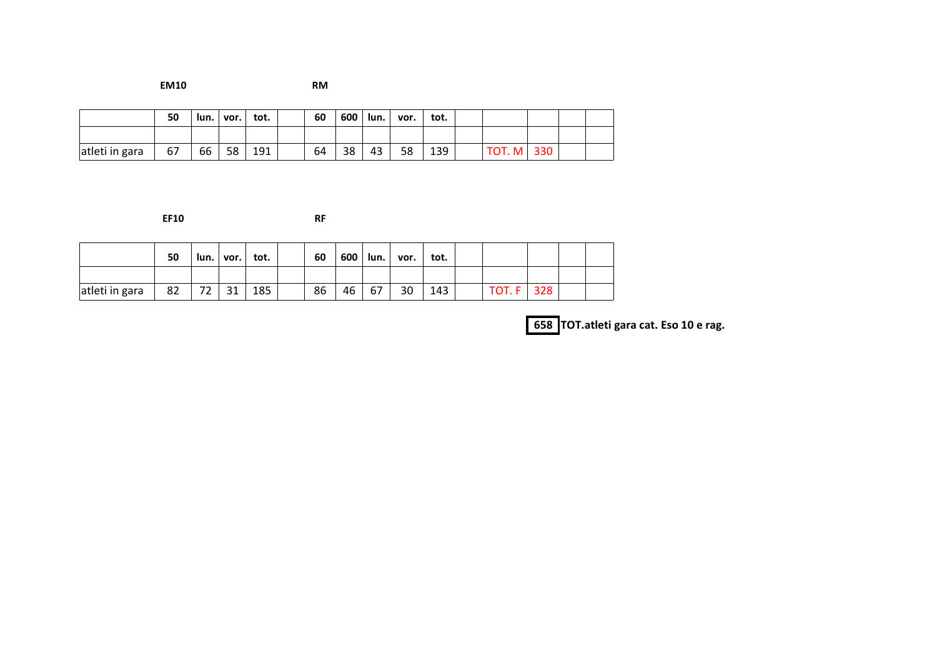**EM10 RM**

|                | 50 |    | lun.   vor. | tot. | 60 | 600 | lun. I | vor. | tot. |                   |  |  |
|----------------|----|----|-------------|------|----|-----|--------|------|------|-------------------|--|--|
|                |    |    |             |      |    |     |        |      |      |                   |  |  |
| atleti in gara | 67 | 66 | 58          | 191  | 64 | 38  | 43     | 58   | 139  | <b>TOT. M 330</b> |  |  |

**EF10 RF**

|                | 50 |                   | un. vor. | tot. | 60 |    | $600$   lun. | vor. | tot. |        |     |  |
|----------------|----|-------------------|----------|------|----|----|--------------|------|------|--------|-----|--|
|                |    |                   |          |      |    |    |              |      |      |        |     |  |
| atleti in gara | 82 | 72.<br><u>' 2</u> | 31       | 185  | 86 | 46 | 67           | 30   | 143  | TOT. F | 328 |  |

**658 TOT.atleti gara cat. Eso 10 e rag.**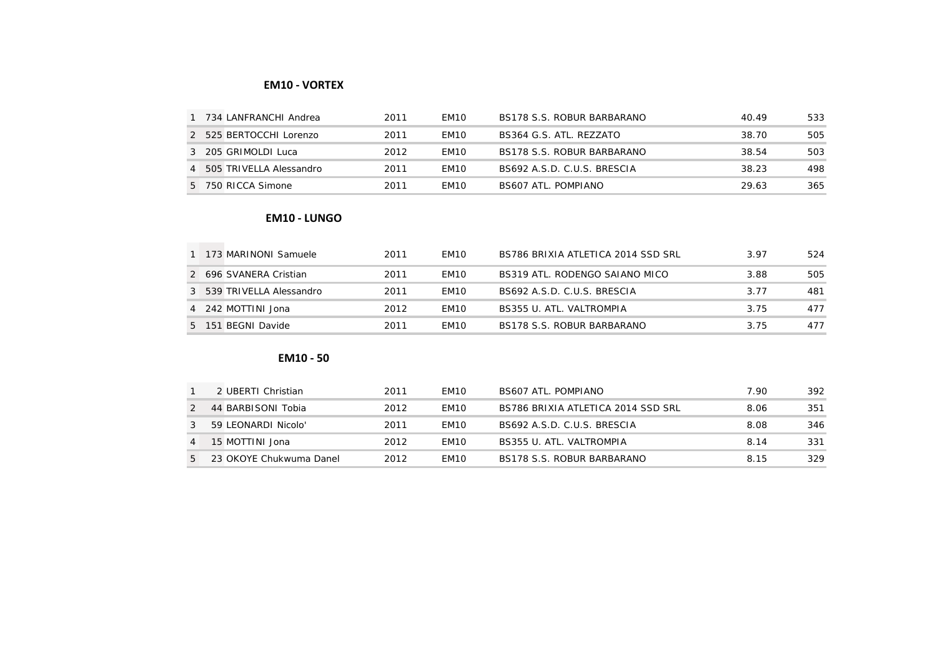## **EM10 - VORTEX**

| 734 LANFRANCHI Andrea     | 2011 | FM <sub>10</sub> | BS178 S.S. ROBUR BARBARANO  | 40.49 | 533  |
|---------------------------|------|------------------|-----------------------------|-------|------|
| 2 525 BERTOCCHI Lorenzo   | 2011 | FM <sub>10</sub> | BS364 G.S. ATL. REZZATO     | 38.70 | 505  |
| 3 205 GRIMOLDI Luca       | 2012 | FM <sub>10</sub> | BS178 S.S. ROBUR BARBARANO  | 38.54 | 503  |
| 4 505 TRIVELLA Alessandro | 2011 | FM <sub>10</sub> | BS692 A.S.D. C.U.S. BRESCIA | 38.23 | 498. |
| 5 750 RICCA Simone        | 2011 | FM <sub>10</sub> | BS607 ATL. POMPIANO         | 29.63 | 365  |

#### **EM10 - LUNGO**

|  | 1 173 MARINONI Samuele    | 2011 | FM <sub>10</sub> | BS786 BRIXIA ATLETICA 2014 SSD SRL | 3.97 | 524  |
|--|---------------------------|------|------------------|------------------------------------|------|------|
|  | 2 696 SVANERA Cristian    | 2011 | FM <sub>10</sub> | BS319 ATL. RODENGO SAIANO MICO     | 3.88 | 505. |
|  | 3 539 TRIVELLA Alessandro | 2011 | FM <sub>10</sub> | BS692 A.S.D. C.U.S. BRESCIA        | 3 77 | 481  |
|  | 4 242 MOTTINI Jona        | 2012 | FM <sub>10</sub> | BS355 U. ATL. VALTROMPIA           | 3.75 | 477  |
|  | 5 151 BEGNI Davide        | 2011 | FM <sub>10</sub> | BS178 S.S. ROBUR BARBARANO         | 3.75 | 477  |

### **EM10 - 50**

|                | 2 UBERTI Christian      | 2011 | FM <sub>10</sub> | BS607 ATL, POMPIANO                | 7 90 | 392. |
|----------------|-------------------------|------|------------------|------------------------------------|------|------|
|                | 44 BARBISONI Tobia      | 2012 | FM <sub>10</sub> | BS786 BRIXIA ATLETICA 2014 SSD SRL | 8.06 | 351  |
| 3              | 59 LEONARDI Nicolo'     | 2011 | FM <sub>10</sub> | BS692 A.S.D. C.U.S. BRESCIA        | 8.08 | 346  |
| $\overline{4}$ | 15 MOTTINI Jona         | 2012 | FM <sub>10</sub> | BS355 U. ATL, VALTROMPIA           | 814  | 331  |
| 5              | 23 OKOYE Chukwuma Danel | 2012 | FM <sub>10</sub> | BS178 S.S. ROBUR BARBARANO         | 8 15 | 329  |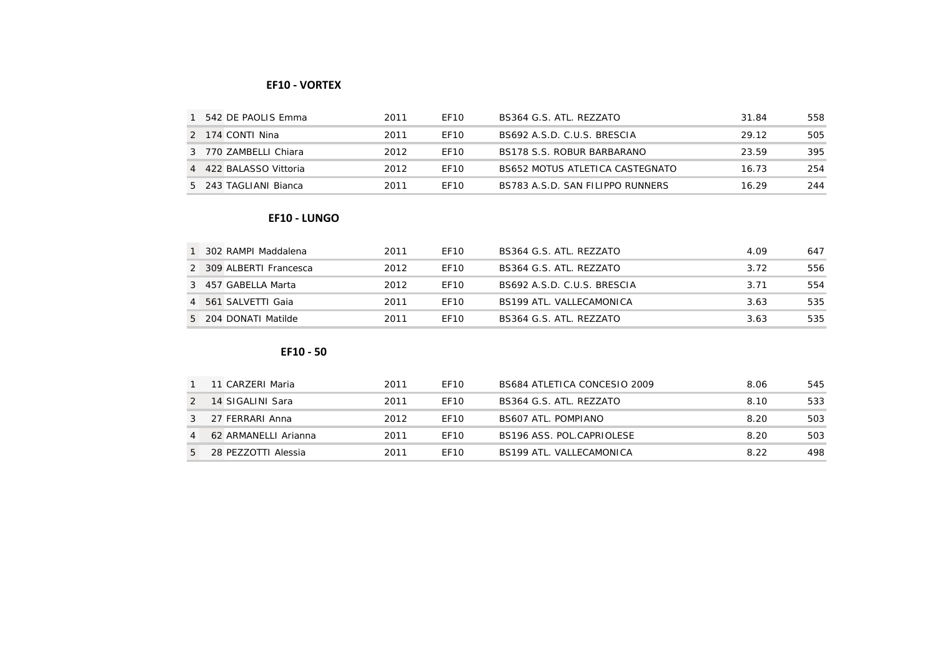### **EF10 - VORTEX**

| 542 DE PAOLIS Emma     | 2011 | FF10             | BS364 G.S. ATL. REZZATO          | 31.84 | 558 |
|------------------------|------|------------------|----------------------------------|-------|-----|
| 2 174 CONTI Nina       | 2011 | FF <sub>10</sub> | BS692 A.S.D. C.U.S. BRESCIA      | 29 12 | 505 |
| 3 770 ZAMBELLI Chiara  | 2012 | FF <sub>10</sub> | BS178 S.S. ROBUR BARBARANO       | 23.59 | 395 |
| 4 422 BALASSO Vittoria | 2012 | FF <sub>10</sub> | BS652 MOTUS ATI FTICA CASTEGNATO | 16.73 | 254 |
| 5 243 TAGLIANI Bianca  | 2011 | FF10             | BS783 A.S.D. SAN FILIPPO RUNNERS | 16.29 | 244 |

#### **EF10 - LUNGO**

| 302 RAMPI Maddalena     | 2011 | FF <sub>10</sub> | BS364 G.S. ATL. REZZATO     | 4.09 | 647 |
|-------------------------|------|------------------|-----------------------------|------|-----|
| 2 309 ALBERTI Francesca | 2012 | FF10             | BS364 G.S. ATL. REZZATO     | 3.72 | 556 |
| 3 457 GABELLA Marta     | 2012 | FF10             | BS692 A.S.D. C.U.S. BRESCIA | 3.71 | 554 |
| 4 561 SALVETTI Gaia     | 2011 | FF <sub>10</sub> | BS199 ATL, VALLECAMONICA    | 3.63 | 535 |
| 5 204 DONATI Matilde    | 2011 | FF <sub>10</sub> | BS364 G.S. ATL. REZZATO     | 3.63 | 535 |

# **EF10 - 50**

|               | 11 CARZERI Maria     | 2011 | FF <sub>10</sub> | BS684 ATLETICA CONCESIO 2009 | 8.06 | 545  |
|---------------|----------------------|------|------------------|------------------------------|------|------|
| $\mathcal{P}$ | 14 SIGALINI Sara     | 2011 | FF <sub>10</sub> | BS364 G.S. ATL. REZZATO      | 8.10 | 533  |
|               | 27 FERRARI Anna      | 2012 | FF <sub>10</sub> | <b>BS607 ATL. POMPIANO</b>   | 820  | 503  |
|               | 62 ARMANELLI Arianna | 2011 | FF <sub>10</sub> | BS196 ASS. POL.CAPRIOLESE    | 820  | 503  |
| 5             | 28 PEZZOTTI Alessia  | 2011 | FF <sub>10</sub> | BS199 ATL, VALLECAMONICA     | 8.22 | 498. |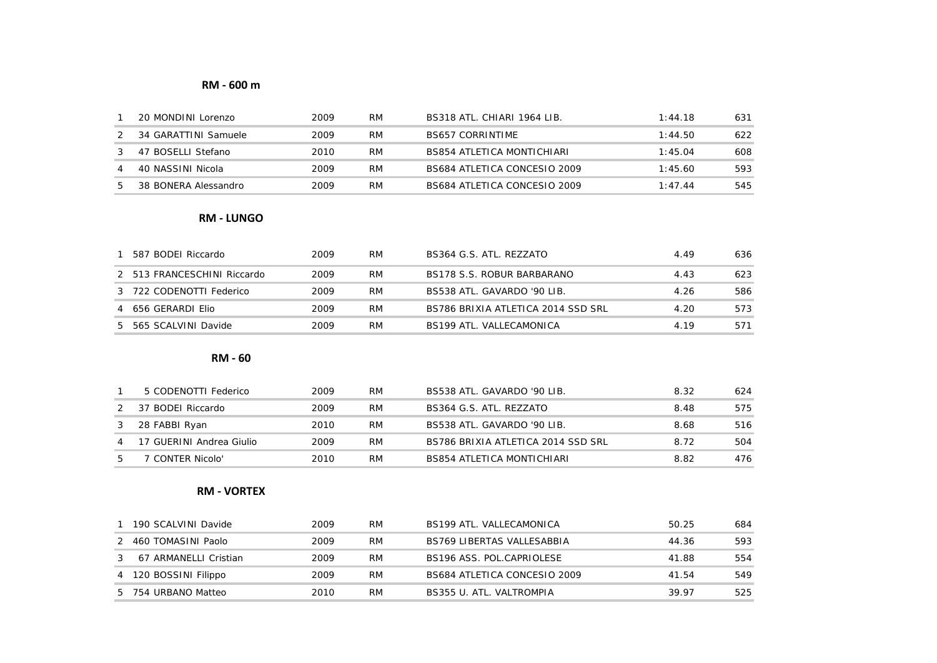### **RM - 600 m**

| 20 MONDINI Lorenzo   | 2009 | <b>RM</b> | BS318 ATL. CHIARI 1964 LIB.  | 1.4418  | 631 |
|----------------------|------|-----------|------------------------------|---------|-----|
| 34 GARATTINI Samuele | 2009 | RM        | <b>BS657 CORRINTIME</b>      | 1:44.50 | 622 |
| 47 BOSELLI Stefano   | 2010 | <b>RM</b> | BS854 ATLETICA MONTICHIARI   | 1.4504  | 608 |
| 40 NASSINI Nicola    | 2009 | <b>RM</b> | BS684 ATLETICA CONCESIO 2009 | 1.45.60 | 593 |
| 38 BONERA Alessandro | 2009 | RM        | BS684 ATLETICA CONCESIO 2009 | 1.4744  | 545 |

#### **RM - LUNGO**

| 587 BODEI Riccardo          | 2009 | RM        | BS364 G.S. ATL. REZZATO            | 449  | 636. |
|-----------------------------|------|-----------|------------------------------------|------|------|
| 2 513 FRANCESCHINI Riccardo | 2009 | RM        | BS178 S.S. ROBUR BARBARANO         | 4.43 | 623  |
| 3 722 CODENOTTI Federico    | 2009 | RM        | BS538 ATL. GAVARDO '90 LIB.        | 4.26 | 586  |
| 4 656 GERARDI FIIO          | 2009 | <b>RM</b> | BS786 BRIXIA ATLETICA 2014 SSD SRL | 4.20 | 573  |
| 5 565 SCALVINI Davide       | 2009 | RM        | BS199 ATL, VALLECAMONICA           | 4 19 | 571  |

**RM - 60**

|   | 5 CODENOTTI Federico     | 2009 | <b>RM</b> | BS538 ATL. GAVARDO '90 LIB.        | 8.32 | 624  |
|---|--------------------------|------|-----------|------------------------------------|------|------|
|   | 37 BODEI Riccardo        | 2009 | <b>RM</b> | BS364 G.S. ATL. REZZATO            | 8.48 | 575  |
|   | 28 FABBI Ryan            | 2010 | <b>RM</b> | BS538 ATL. GAVARDO '90 LIB.        | 8.68 | 516. |
| 4 | 17 GUERINI Andrea Giulio | 2009 | <b>RM</b> | BS786 BRIXIA ATLETICA 2014 SSD SRL | 8.72 | 504  |
|   | 7 CONTER Nicolo'         | 2010 | <b>RM</b> | BS854 ATLETICA MONTICHIARI         | 8.82 | 476. |

### **RM - VORTEX**

|               | 190 SCALVINI Davide   | 2009 | RM | BS199 ATL, VALLECAMONICA          | 50.25 | 684 |
|---------------|-----------------------|------|----|-----------------------------------|-------|-----|
|               | 2 460 TOMASINI Paolo  | 2009 | RM | <b>BS769 LIBERTAS VALLESABBIA</b> | 44.36 | 593 |
| $\mathcal{S}$ | 67 ARMANELLI Cristian | 2009 | RM | BS196 ASS. POL.CAPRIOLESE         | 41.88 | 554 |
|               | 4 120 BOSSINI Filippo | 2009 | RM | BS684 ATLETICA CONCESIO 2009      | 41.54 | 549 |
|               | 5 754 URBANO Matteo   | 2010 | RM | BS355 U. ATL. VALTROMPIA          | 39.97 | 525 |